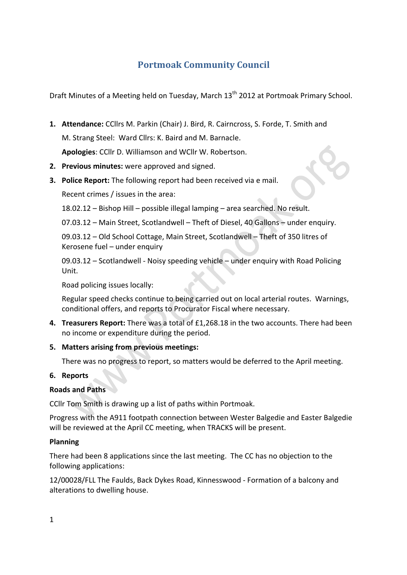# **Portmoak Community Council**

Draft Minutes of a Meeting held on Tuesday, March 13<sup>th</sup> 2012 at Portmoak Primary School.

- **1. Attendance:** CCllrs M. Parkin (Chair) J. Bird, R. Cairncross, S. Forde, T. Smith and M. Strang Steel: Ward Cllrs: K. Baird and M. Barnacle. Apologies: CCllr D. Williamson and WCllr W. Robertson.
- **2.** Previous minutes: were approved and signed.
- **3. Police Report:** The following report had been received via e mail.

Recent crimes / issues in the area:

 $18.02.12 -$  Bishop Hill – possible illegal lamping – area searched. No result.

07.03.12 - Main Street, Scotlandwell - Theft of Diesel, 40 Gallons - under enquiry.

09.03.12 - Old School Cottage, Main Street, Scotlandwell - Theft of 350 litres of Kerosene fuel  $-$  under enquiry

09.03.12 - Scotlandwell - Noisy speeding vehicle - under enquiry with Road Policing Unit.

Road policing issues locally:

Regular speed checks continue to being carried out on local arterial routes. Warnings, conditional offers, and reports to Procurator Fiscal where necessary.

- **4. Treasurers Report:** There was a total of £1,268.18 in the two accounts. There had been no income or expenditure during the period.
- **5. Matters arising from previous meetings:**

There was no progress to report, so matters would be deferred to the April meeting.

#### **6. Reports**

#### **Roads and Paths**

CCIIr Tom Smith is drawing up a list of paths within Portmoak.

Progress with the A911 footpath connection between Wester Balgedie and Easter Balgedie will be reviewed at the April CC meeting, when TRACKS will be present.

#### **Planning**

There had been 8 applications since the last meeting. The CC has no objection to the following applications:

12/00028/FLL The Faulds, Back Dykes Road, Kinnesswood - Formation of a balcony and alterations to dwelling house.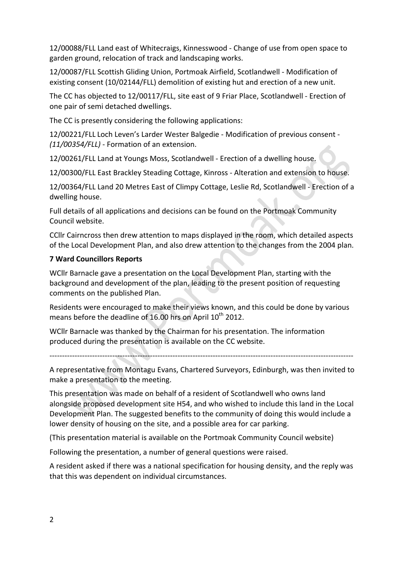12/00088/FLL Land east of Whitecraigs, Kinnesswood - Change of use from open space to garden ground, relocation of track and landscaping works.

12/00087/FLL Scottish Gliding Union, Portmoak Airfield, Scotlandwell - Modification of existing consent (10/02144/FLL) demolition of existing hut and erection of a new unit.

The CC has objected to 12/00117/FLL, site east of 9 Friar Place, Scotlandwell - Erection of one pair of semi detached dwellings.

The CC is presently considering the following applications:

12/00221/FLL Loch Leven's Larder Wester Balgedie - Modification of previous consent -*(11/00354/FLL)* - Formation of an extension.

12/00261/FLL Land at Youngs Moss, Scotlandwell - Erection of a dwelling house.

12/00300/FLL East Brackley Steading Cottage, Kinross - Alteration and extension to house.

12/00364/FLL Land 20 Metres East of Climpy Cottage, Leslie Rd, Scotlandwell - Erection of a dwelling house.

Full details of all applications and decisions can be found on the Portmoak Community Council website.

CCIIr Cairncross then drew attention to maps displayed in the room, which detailed aspects of the Local Development Plan, and also drew attention to the changes from the 2004 plan.

### **7 Ward Councillors Reports**

WCllr Barnacle gave a presentation on the Local Development Plan, starting with the background and development of the plan, leading to the present position of requesting comments on the published Plan.

Residents were encouraged to make their views known, and this could be done by various means before the deadline of 16.00 hrs on April  $10^{th}$  2012.

WCllr Barnacle was thanked by the Chairman for his presentation. The information produced during the presentation is available on the CC website.

-------------------------------------------------------------------------------------------------------------------------

A representative from Montagu Evans, Chartered Surveyors, Edinburgh, was then invited to make a presentation to the meeting.

This presentation was made on behalf of a resident of Scotlandwell who owns land alongside proposed development site H54, and who wished to include this land in the Local Development Plan. The suggested benefits to the community of doing this would include a lower density of housing on the site, and a possible area for car parking.

(This presentation material is available on the Portmoak Community Council website)

Following the presentation, a number of general questions were raised.

A resident asked if there was a national specification for housing density, and the reply was that this was dependent on individual circumstances.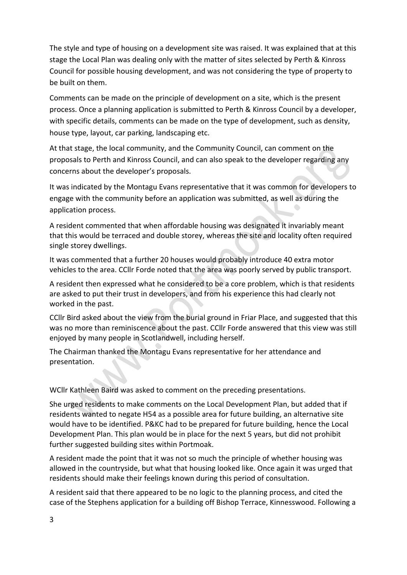The style and type of housing on a development site was raised. It was explained that at this stage the Local Plan was dealing only with the matter of sites selected by Perth & Kinross Council for possible housing development, and was not considering the type of property to be built on them.

Comments can be made on the principle of development on a site, which is the present process. Once a planning application is submitted to Perth & Kinross Council by a developer, with specific details, comments can be made on the type of development, such as density, house type, layout, car parking, landscaping etc.

At that stage, the local community, and the Community Council, can comment on the proposals to Perth and Kinross Council, and can also speak to the developer regarding any concerns about the developer's proposals.

It was indicated by the Montagu Evans representative that it was common for developers to engage with the community before an application was submitted, as well as during the application process.

A resident commented that when affordable housing was designated it invariably meant that this would be terraced and double storey, whereas the site and locality often required single storey dwellings.

It was commented that a further 20 houses would probably introduce 40 extra motor vehicles to the area. CCllr Forde noted that the area was poorly served by public transport.

A resident then expressed what he considered to be a core problem, which is that residents are asked to put their trust in developers, and from his experience this had clearly not worked in the past.

CCIIr Bird asked about the view from the burial ground in Friar Place, and suggested that this was no more than reminiscence about the past. CCllr Forde answered that this view was still enjoyed by many people in Scotlandwell, including herself.

The Chairman thanked the Montagu Evans representative for her attendance and presentation.

WCllr Kathleen Baird was asked to comment on the preceding presentations.

She urged residents to make comments on the Local Development Plan, but added that if residents wanted to negate H54 as a possible area for future building, an alternative site would have to be identified. P&KC had to be prepared for future building, hence the Local Development Plan. This plan would be in place for the next 5 years, but did not prohibit further suggested building sites within Portmoak.

A resident made the point that it was not so much the principle of whether housing was allowed in the countryside, but what that housing looked like. Once again it was urged that residents should make their feelings known during this period of consultation.

A resident said that there appeared to be no logic to the planning process, and cited the case of the Stephens application for a building off Bishop Terrace, Kinnesswood. Following a